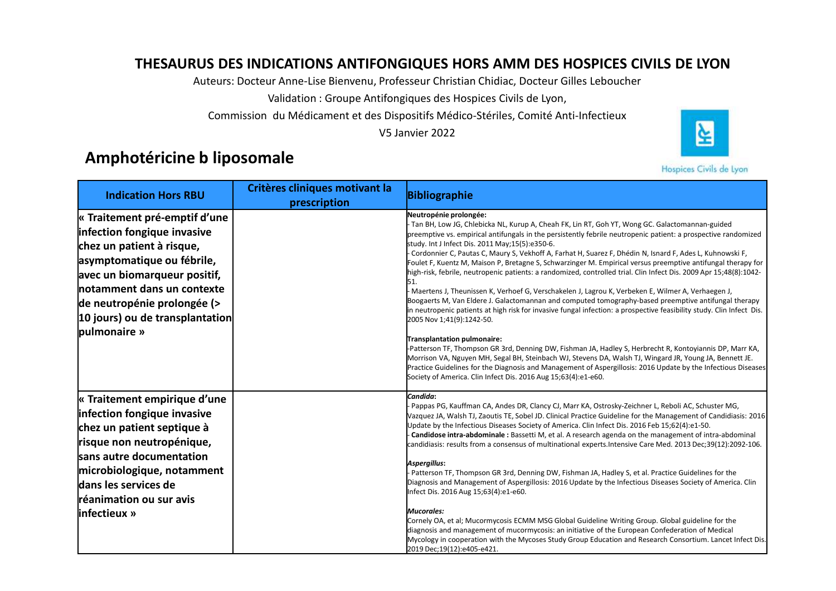# THESAURUS DES INDICATIONS ANTIFONGIQUES HORS AMM DES HOSPICES CIVILS DE LYON<br>Auteurs: Docteur Anne-Lise Bienvenu, Professeur Christian Chidiac, Docteur Gilles Leboucher<br>Validation : Groupe Antifongiques des Hospices Civils



|                                                                                                                                                                                                                                                                         |                                                | Auteurs: Docteur Anne-Lise Bienvenu, Professeur Christian Chidiac, Docteur Gilles Leboucher                                                                                                                                                                                                                                                                                                                                                                                                                                                                                                                                                                                                                                                                                                                                                                                                                                                                                                                                                                                                                                                                                                                                                                                                                                                                                                                                                                                   |
|-------------------------------------------------------------------------------------------------------------------------------------------------------------------------------------------------------------------------------------------------------------------------|------------------------------------------------|-------------------------------------------------------------------------------------------------------------------------------------------------------------------------------------------------------------------------------------------------------------------------------------------------------------------------------------------------------------------------------------------------------------------------------------------------------------------------------------------------------------------------------------------------------------------------------------------------------------------------------------------------------------------------------------------------------------------------------------------------------------------------------------------------------------------------------------------------------------------------------------------------------------------------------------------------------------------------------------------------------------------------------------------------------------------------------------------------------------------------------------------------------------------------------------------------------------------------------------------------------------------------------------------------------------------------------------------------------------------------------------------------------------------------------------------------------------------------------|
|                                                                                                                                                                                                                                                                         |                                                | Validation : Groupe Antifongiques des Hospices Civils de Lyon,                                                                                                                                                                                                                                                                                                                                                                                                                                                                                                                                                                                                                                                                                                                                                                                                                                                                                                                                                                                                                                                                                                                                                                                                                                                                                                                                                                                                                |
|                                                                                                                                                                                                                                                                         |                                                | Commission du Médicament et des Dispositifs Médico-Stériles, Comité Anti-Infectieux<br>₹<br>V5 Janvier 2022                                                                                                                                                                                                                                                                                                                                                                                                                                                                                                                                                                                                                                                                                                                                                                                                                                                                                                                                                                                                                                                                                                                                                                                                                                                                                                                                                                   |
| Amphotéricine b liposomale                                                                                                                                                                                                                                              |                                                | Hospices Civils de Lyon                                                                                                                                                                                                                                                                                                                                                                                                                                                                                                                                                                                                                                                                                                                                                                                                                                                                                                                                                                                                                                                                                                                                                                                                                                                                                                                                                                                                                                                       |
| <b>Indication Hors RBU</b>                                                                                                                                                                                                                                              | Critères cliniques motivant la<br>prescription | <b>Bibliographie</b>                                                                                                                                                                                                                                                                                                                                                                                                                                                                                                                                                                                                                                                                                                                                                                                                                                                                                                                                                                                                                                                                                                                                                                                                                                                                                                                                                                                                                                                          |
| « Traitement pré-emptif d'une<br>infection fongique invasive<br>chez un patient à risque,<br>asymptomatique ou fébrile,<br>avec un biomarqueur positif,<br>notamment dans un contexte<br>de neutropénie prolongée (><br>10 jours) ou de transplantation<br>pulmonaire » |                                                | Neutropénie prolongée:<br>Tan BH, Low JG, Chlebicka NL, Kurup A, Cheah FK, Lin RT, Goh YT, Wong GC. Galactomannan-guided<br>preemptive vs. empirical antifungals in the persistently febrile neutropenic patient: a prospective randomized<br>study. Int J Infect Dis. 2011 May; 15(5): e350-6.<br>- Cordonnier C, Pautas C, Maury S, Vekhoff A, Farhat H, Suarez F, Dhédin N, Isnard F, Ades L, Kuhnowski F,<br>Foulet F, Kuentz M, Maison P, Bretagne S, Schwarzinger M. Empirical versus preemptive antifungal therapy for<br>high-risk, febrile, neutropenic patients: a randomized, controlled trial. Clin Infect Dis. 2009 Apr 15;48(8):1042-<br>51.<br>Maertens J, Theunissen K, Verhoef G, Verschakelen J, Lagrou K, Verbeken E, Wilmer A, Verhaegen J,<br>Boogaerts M, Van Eldere J. Galactomannan and computed tomography-based preemptive antifungal therapy<br>in neutropenic patients at high risk for invasive fungal infection: a prospective feasibility study. Clin Infect Dis.<br>2005 Nov 1;41(9):1242-50.<br><b>Fransplantation pulmonaire:</b><br>-Patterson TF, Thompson GR 3rd, Denning DW, Fishman JA, Hadley S, Herbrecht R, Kontoyiannis DP, Marr KA,<br>Morrison VA, Nguyen MH, Segal BH, Steinbach WJ, Stevens DA, Walsh TJ, Wingard JR, Young JA, Bennett JE.<br>Practice Guidelines for the Diagnosis and Management of Aspergillosis: 2016 Update by the Infectious Diseases<br>Society of America. Clin Infect Dis. 2016 Aug 15;63(4):e1-e60. |
| $\kappa$ Traitement empirique d'une<br>infection fongique invasive<br>chez un patient septique à<br>risque non neutropénique,<br>sans autre documentation<br>microbiologique, notamment<br>dans les services de<br>réanimation ou sur avis<br>linfectieux »             |                                                | Candida:<br>Pappas PG, Kauffman CA, Andes DR, Clancy CJ, Marr KA, Ostrosky-Zeichner L, Reboli AC, Schuster MG,<br>Vazquez JA, Walsh TJ, Zaoutis TE, Sobel JD. Clinical Practice Guideline for the Management of Candidiasis: 2016<br>Update by the Infectious Diseases Society of America. Clin Infect Dis. 2016 Feb 15;62(4):e1-50.<br>Candidose intra-abdominale: Bassetti M, et al. A research agenda on the management of intra-abdominal<br>candidiasis: results from a consensus of multinational experts.Intensive Care Med. 2013 Dec;39(12):2092-106.<br>Aspergillus:<br>- Patterson TF, Thompson GR 3rd, Denning DW, Fishman JA, Hadley S, et al. Practice Guidelines for the<br>Diagnosis and Management of Aspergillosis: 2016 Update by the Infectious Diseases Society of America. Clin<br>Infect Dis. 2016 Aug 15;63(4):e1-e60.<br>Mucorales:<br>Cornely OA, et al; Mucormycosis ECMM MSG Global Guideline Writing Group. Global guideline for the<br>diagnosis and management of mucormycosis: an initiative of the European Confederation of Medical<br>Mycology in cooperation with the Mycoses Study Group Education and Research Consortium. Lancet Infect Dis.<br>2019 Dec;19(12):e405-e421.                                                                                                                                                                                                                                                              |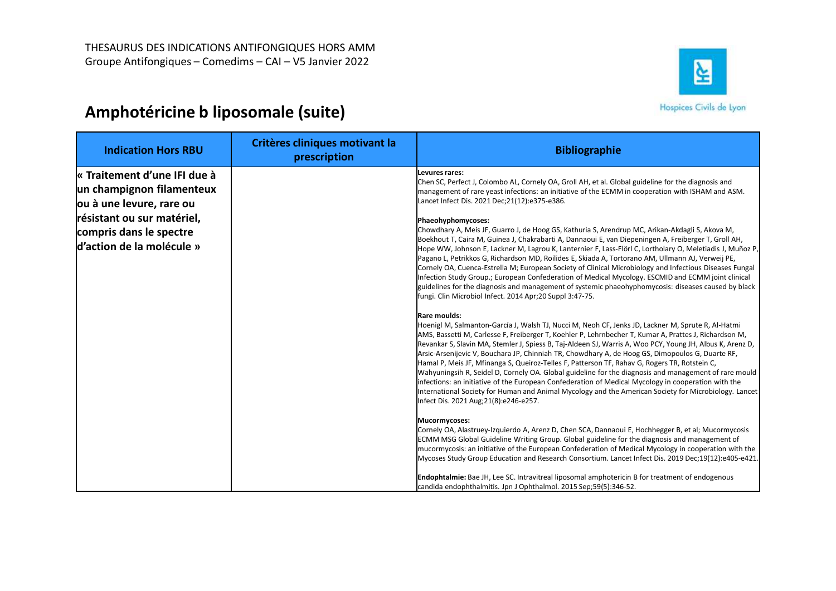

| THESAURUS DES INDICATIONS ANTIFONGIQUES HORS AMM<br>Groupe Antifongiques - Comedims - CAI - V5 Janvier 2022<br>Amphotéricine b liposomale (suite)                           |                                                | 실<br>Hospices Civils de Lyon                                                                                                                                                                                                                                                                                                                                                                                                                                                                                                                                                                                                                                                                                                                                                                                                                                                                                                                                                                                                                                                                                                                                                                                                                                                                                                                                                                                                                                                                                                                                                                                                                                                                                                                                                                                                                                                                                                                                                                                                                                                                                                                                                                                                                                                                                                                                                                                                                                                                                                                                                                                                                                 |
|-----------------------------------------------------------------------------------------------------------------------------------------------------------------------------|------------------------------------------------|--------------------------------------------------------------------------------------------------------------------------------------------------------------------------------------------------------------------------------------------------------------------------------------------------------------------------------------------------------------------------------------------------------------------------------------------------------------------------------------------------------------------------------------------------------------------------------------------------------------------------------------------------------------------------------------------------------------------------------------------------------------------------------------------------------------------------------------------------------------------------------------------------------------------------------------------------------------------------------------------------------------------------------------------------------------------------------------------------------------------------------------------------------------------------------------------------------------------------------------------------------------------------------------------------------------------------------------------------------------------------------------------------------------------------------------------------------------------------------------------------------------------------------------------------------------------------------------------------------------------------------------------------------------------------------------------------------------------------------------------------------------------------------------------------------------------------------------------------------------------------------------------------------------------------------------------------------------------------------------------------------------------------------------------------------------------------------------------------------------------------------------------------------------------------------------------------------------------------------------------------------------------------------------------------------------------------------------------------------------------------------------------------------------------------------------------------------------------------------------------------------------------------------------------------------------------------------------------------------------------------------------------------------------|
| <b>Indication Hors RBU</b>                                                                                                                                                  | Critères cliniques motivant la<br>prescription | <b>Bibliographie</b>                                                                                                                                                                                                                                                                                                                                                                                                                                                                                                                                                                                                                                                                                                                                                                                                                                                                                                                                                                                                                                                                                                                                                                                                                                                                                                                                                                                                                                                                                                                                                                                                                                                                                                                                                                                                                                                                                                                                                                                                                                                                                                                                                                                                                                                                                                                                                                                                                                                                                                                                                                                                                                         |
| « Traitement d'une IFI due à<br>un champignon filamenteux<br>ou à une levure, rare ou<br>résistant ou sur matériel,<br>compris dans le spectre<br>d'action de la molécule » |                                                | Levures rares:<br>Chen SC, Perfect J, Colombo AL, Cornely OA, Groll AH, et al. Global guideline for the diagnosis and<br>management of rare yeast infections: an initiative of the ECMM in cooperation with ISHAM and ASM.<br>Lancet Infect Dis. 2021 Dec; 21(12): e375-e386.<br>Phaeohyphomycoses:<br>Chowdhary A, Meis JF, Guarro J, de Hoog GS, Kathuria S, Arendrup MC, Arikan-Akdagli S, Akova M,<br>Boekhout T, Caira M, Guinea J, Chakrabarti A, Dannaoui E, van Diepeningen A, Freiberger T, Groll AH,<br>Hope WW, Johnson E, Lackner M, Lagrou K, Lanternier F, Lass-Flörl C, Lortholary O, Meletiadis J, Muñoz P,<br>Pagano L, Petrikkos G, Richardson MD, Roilides E, Skiada A, Tortorano AM, Ullmann AJ, Verweij PE,<br>Cornely OA, Cuenca-Estrella M; European Society of Clinical Microbiology and Infectious Diseases Fungal<br>Infection Study Group.; European Confederation of Medical Mycology. ESCMID and ECMM joint clinical<br>guidelines for the diagnosis and management of systemic phaeohyphomycosis: diseases caused by black<br>fungi. Clin Microbiol Infect. 2014 Apr;20 Suppl 3:47-75.<br>Rare moulds:<br>Hoenigl M, Salmanton-García J, Walsh TJ, Nucci M, Neoh CF, Jenks JD, Lackner M, Sprute R, Al-Hatmi<br>AMS, Bassetti M, Carlesse F, Freiberger T, Koehler P, Lehrnbecher T, Kumar A, Prattes J, Richardson M,<br>Revankar S, Slavin MA, Stemler J, Spiess B, Taj-Aldeen SJ, Warris A, Woo PCY, Young JH, Albus K, Arenz D,<br>Arsic-Arsenijevic V, Bouchara JP, Chinniah TR, Chowdhary A, de Hoog GS, Dimopoulos G, Duarte RF,<br>Hamal P, Meis JF, Mfinanga S, Queiroz-Telles F, Patterson TF, Rahav G, Rogers TR, Rotstein C,<br>Wahyuningsih R, Seidel D, Cornely OA. Global guideline for the diagnosis and management of rare mould<br>infections: an initiative of the European Confederation of Medical Mycology in cooperation with the<br>International Society for Human and Animal Mycology and the American Society for Microbiology. Lancet<br>Infect Dis. 2021 Aug; 21(8): e246-e257.<br>Mucormycoses:<br>Cornely OA, Alastruey-Izquierdo A, Arenz D, Chen SCA, Dannaoui E, Hochhegger B, et al; Mucormycosis<br>ECMM MSG Global Guideline Writing Group. Global guideline for the diagnosis and management of<br>mucormycosis: an initiative of the European Confederation of Medical Mycology in cooperation with the<br>Mycoses Study Group Education and Research Consortium. Lancet Infect Dis. 2019 Dec;19(12):e405-e421.<br>Endophtalmie: Bae JH, Lee SC. Intravitreal liposomal amphotericin B for treatment of endogenous<br>candida endophthalmitis. Jpn J Ophthalmol. 2015 Sep;59(5):346-52. |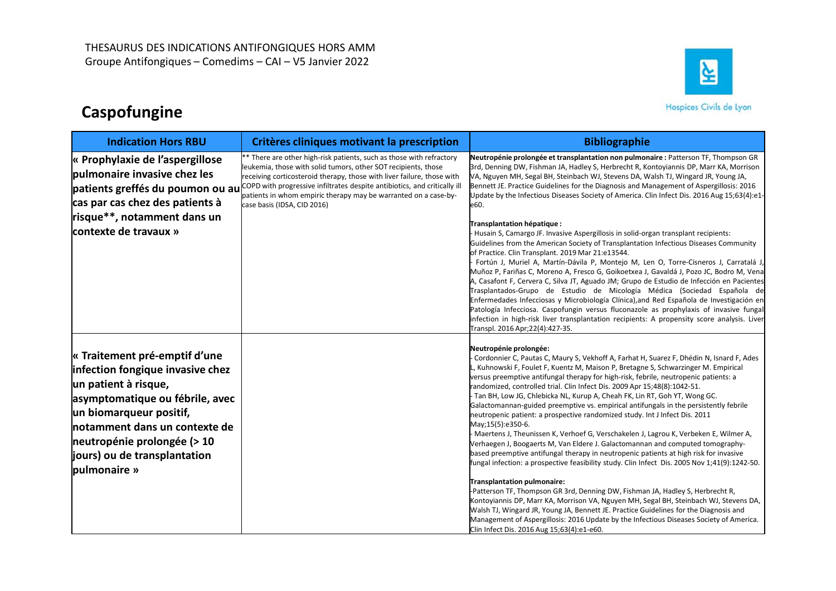# Caspofungine



|                                                                                                                                                                                                                                                                         | Groupe Antifongiques - Comedims - CAI - V5 Janvier 2022                                                                                                                                                                                                                                                                                                                                                                          | 실                                                                                                                                                                                                                                                                                                                                                                                                                                                                                                                                                                                                                                                                                                                                                                                                                                                                                                                                                                                                                                                                                                                                                                                                                                                                                                                                                                                                                                                                              |  |
|-------------------------------------------------------------------------------------------------------------------------------------------------------------------------------------------------------------------------------------------------------------------------|----------------------------------------------------------------------------------------------------------------------------------------------------------------------------------------------------------------------------------------------------------------------------------------------------------------------------------------------------------------------------------------------------------------------------------|--------------------------------------------------------------------------------------------------------------------------------------------------------------------------------------------------------------------------------------------------------------------------------------------------------------------------------------------------------------------------------------------------------------------------------------------------------------------------------------------------------------------------------------------------------------------------------------------------------------------------------------------------------------------------------------------------------------------------------------------------------------------------------------------------------------------------------------------------------------------------------------------------------------------------------------------------------------------------------------------------------------------------------------------------------------------------------------------------------------------------------------------------------------------------------------------------------------------------------------------------------------------------------------------------------------------------------------------------------------------------------------------------------------------------------------------------------------------------------|--|
| Caspofungine                                                                                                                                                                                                                                                            |                                                                                                                                                                                                                                                                                                                                                                                                                                  | Hospices Civils de Lyon                                                                                                                                                                                                                                                                                                                                                                                                                                                                                                                                                                                                                                                                                                                                                                                                                                                                                                                                                                                                                                                                                                                                                                                                                                                                                                                                                                                                                                                        |  |
| <b>Indication Hors RBU</b>                                                                                                                                                                                                                                              | Critères cliniques motivant la prescription                                                                                                                                                                                                                                                                                                                                                                                      | <b>Bibliographie</b>                                                                                                                                                                                                                                                                                                                                                                                                                                                                                                                                                                                                                                                                                                                                                                                                                                                                                                                                                                                                                                                                                                                                                                                                                                                                                                                                                                                                                                                           |  |
| « Prophylaxie de l'aspergillose<br>pulmonaire invasive chez les<br>cas par cas chez des patients à<br>risque**, notamment dans un<br>contexte de travaux »                                                                                                              | ** There are other high-risk patients, such as those with refractory<br>leukemia, those with solid tumors, other SOT recipients, those<br>receiving corticosteroid therapy, those with liver failure, those with<br>patients greffés du poumon ou au COPD with progressive infiltrates despite antibiotics, and critically ill<br>patients in whom empiric therapy may be warranted on a case-by-<br>case basis (IDSA, CID 2016) | Neutropénie prolongée et transplantation non pulmonaire : Patterson TF, Thompson GR<br>3rd, Denning DW, Fishman JA, Hadley S, Herbrecht R, Kontoyiannis DP, Marr KA, Morrison<br>VA, Nguyen MH, Segal BH, Steinbach WJ, Stevens DA, Walsh TJ, Wingard JR, Young JA,<br>Bennett JE. Practice Guidelines for the Diagnosis and Management of Aspergillosis: 2016<br>Update by the Infectious Diseases Society of America. Clin Infect Dis. 2016 Aug 15;63(4):e1<br>e60.<br>Transplantation hépatique :<br>- Husain S, Camargo JF. Invasive Aspergillosis in solid-organ transplant recipients:<br>Guidelines from the American Society of Transplantation Infectious Diseases Community<br>of Practice. Clin Transplant. 2019 Mar 21:e13544.<br>- Fortún J, Muriel A, Martín-Dávila P, Montejo M, Len O, Torre-Cisneros J, Carratalá J,<br>Muñoz P, Fariñas C, Moreno A, Fresco G, Goikoetxea J, Gavaldá J, Pozo JC, Bodro M, Vena<br>A, Casafont F, Cervera C, Silva JT, Aguado JM; Grupo de Estudio de Infección en Pacientes<br>Trasplantados-Grupo de Estudio de Micología Médica (Sociedad Española de<br>Enfermedades Infecciosas y Microbiología Clínica), and Red Española de Investigación er<br>Patología Infecciosa. Caspofungin versus fluconazole as prophylaxis of invasive fungal<br>infection in high-risk liver transplantation recipients: A propensity score analysis. Liver<br>Transpl. 2016 Apr;22(4):427-35.                                               |  |
| « Traitement pré-emptif d'une<br>infection fongique invasive chez<br>un patient à risque,<br>asymptomatique ou fébrile, avec<br>un biomarqueur positif,<br>notamment dans un contexte de<br>neutropénie prolongée (> 10<br>jours) ou de transplantation<br>pulmonaire » |                                                                                                                                                                                                                                                                                                                                                                                                                                  | Neutropénie prolongée:<br>F Cordonnier C, Pautas C, Maury S, Vekhoff A, Farhat H, Suarez F, Dhédin N, Isnard F, Ades<br>L, Kuhnowski F, Foulet F, Kuentz M, Maison P, Bretagne S, Schwarzinger M. Empirical<br>versus preemptive antifungal therapy for high-risk, febrile, neutropenic patients: a<br>randomized, controlled trial. Clin Infect Dis. 2009 Apr 15;48(8):1042-51.<br>F Tan BH, Low JG, Chlebicka NL, Kurup A, Cheah FK, Lin RT, Goh YT, Wong GC.<br>Galactomannan-guided preemptive vs. empirical antifungals in the persistently febrile<br>neutropenic patient: a prospective randomized study. Int J Infect Dis. 2011<br>May;15(5):e350-6.<br>- Maertens J, Theunissen K, Verhoef G, Verschakelen J, Lagrou K, Verbeken E, Wilmer A,<br>Verhaegen J, Boogaerts M, Van Eldere J. Galactomannan and computed tomography-<br>based preemptive antifungal therapy in neutropenic patients at high risk for invasive<br>fungal infection: a prospective feasibility study. Clin Infect Dis. 2005 Nov 1;41(9):1242-50.<br>Transplantation pulmonaire:<br>-Patterson TF, Thompson GR 3rd, Denning DW, Fishman JA, Hadley S, Herbrecht R,<br>Kontoyiannis DP, Marr KA, Morrison VA, Nguyen MH, Segal BH, Steinbach WJ, Stevens DA,<br>Walsh TJ, Wingard JR, Young JA, Bennett JE. Practice Guidelines for the Diagnosis and<br>Management of Aspergillosis: 2016 Update by the Infectious Diseases Society of America.<br>Clin Infect Dis. 2016 Aug 15;63(4):e1-e60. |  |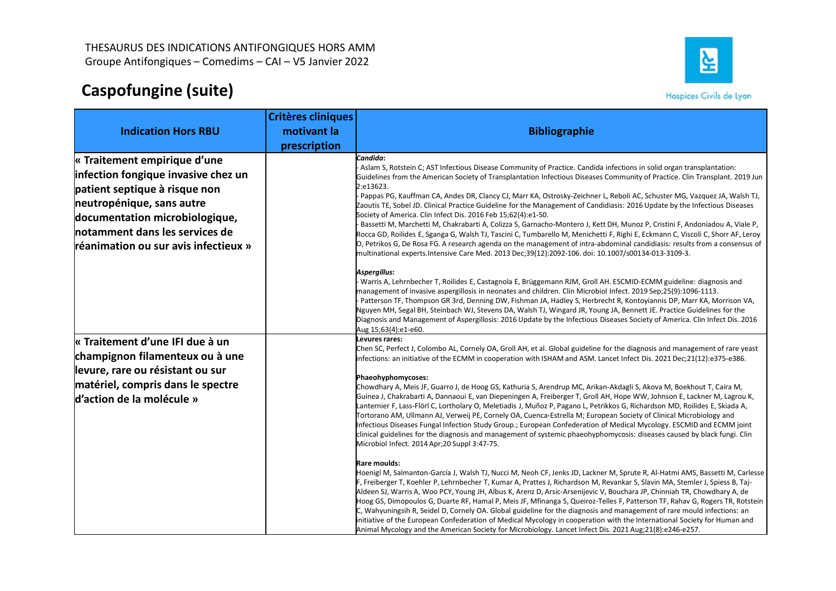

| Caspofungine (suite)                 |                           | ≩<br>Groupe Antifongiques - Comedims - CAI - V5 Janvier 2022<br>Hospices Civils de Lyon                                                                                                                                                                 |
|--------------------------------------|---------------------------|---------------------------------------------------------------------------------------------------------------------------------------------------------------------------------------------------------------------------------------------------------|
|                                      | <b>Critères cliniques</b> |                                                                                                                                                                                                                                                         |
| <b>Indication Hors RBU</b>           | motivant la               | <b>Bibliographie</b>                                                                                                                                                                                                                                    |
|                                      | prescription              |                                                                                                                                                                                                                                                         |
| « Traitement empirique d'une         |                           | Candida:<br>- Aslam S, Rotstein C; AST Infectious Disease Community of Practice. Candida infections in solid organ transplantation:                                                                                                                     |
| infection fongique invasive chez un  |                           | Guidelines from the American Society of Transplantation Infectious Diseases Community of Practice. Clin Transplant. 2019 Jun                                                                                                                            |
| patient septique à risque non        |                           | 2:e13623.<br>- Pappas PG, Kauffman CA, Andes DR, Clancy CJ, Marr KA, Ostrosky-Zeichner L, Reboli AC, Schuster MG, Vazquez JA, Walsh TJ,                                                                                                                 |
| neutropénique, sans autre            |                           | Zaoutis TE, Sobel JD. Clinical Practice Guideline for the Management of Candidiasis: 2016 Update by the Infectious Diseases                                                                                                                             |
| documentation microbiologique,       |                           | Society of America. Clin Infect Dis. 2016 Feb 15;62(4):e1-50.<br>- Bassetti M, Marchetti M, Chakrabarti A, Colizza S, Garnacho-Montero J, Kett DH, Munoz P, Cristini F, Andoniadou A, Viale P,                                                          |
| notamment dans les services de       |                           | Rocca GD, Roilides E, Sganga G, Walsh TJ, Tascini C, Tumbarello M, Menichetti F, Righi E, Eckmann C, Viscoli C, Shorr AF, Leroy                                                                                                                         |
| réanimation ou sur avis infectieux » |                           | O, Petrikos G, De Rosa FG. A research agenda on the management of intra-abdominal candidiasis: results from a consensus of<br>multinational experts. Intensive Care Med. 2013 Dec; 39(12): 2092-106. doi: 10.1007/s00134-013-3109-3.                    |
|                                      |                           | Aspergillus:                                                                                                                                                                                                                                            |
|                                      |                           | - Warris A, Lehrnbecher T, Roilides E, Castagnola E, Brüggemann RJM, Groll AH. ESCMID-ECMM guideline: diagnosis and<br>management of invasive aspergillosis in neonates and children. Clin Microbiol Infect. 2019 Sep;25(9):1096-1113.                  |
|                                      |                           | -<br> - Patterson TF, Thompson GR 3rd, Denning DW, Fishman JA, Hadley S, Herbrecht R, Kontoyiannis DP, Marr KA, Morrison VA,                                                                                                                            |
|                                      |                           | Nguyen MH, Segal BH, Steinbach WJ, Stevens DA, Walsh TJ, Wingard JR, Young JA, Bennett JE. Practice Guidelines for the                                                                                                                                  |
|                                      |                           | Diagnosis and Management of Aspergillosis: 2016 Update by the Infectious Diseases Society of America. Clin Infect Dis. 2016<br>Aug 15;63(4):e1-e60.                                                                                                     |
| « Traitement d'une IFI due à un      |                           | Levures rares:                                                                                                                                                                                                                                          |
| champignon filamenteux ou à une      |                           | Chen SC, Perfect J, Colombo AL, Cornely OA, Groll AH, et al. Global guideline for the diagnosis and management of rare yeast<br>infections: an initiative of the ECMM in cooperation with ISHAM and ASM. Lancet Infect Dis. 2021 Dec;21(12):e375-e386.  |
| levure, rare ou résistant ou sur     |                           | Phaeohyphomycoses:                                                                                                                                                                                                                                      |
| matériel, compris dans le spectre    |                           | Chowdhary A, Meis JF, Guarro J, de Hoog GS, Kathuria S, Arendrup MC, Arikan-Akdagli S, Akova M, Boekhout T, Caira M,                                                                                                                                    |
| d'action de la molécule »            |                           | Guinea J, Chakrabarti A, Dannaoui E, van Diepeningen A, Freiberger T, Groll AH, Hope WW, Johnson E, Lackner M, Lagrou K,                                                                                                                                |
|                                      |                           | Lanternier F, Lass-Flörl C, Lortholary O, Meletiadis J, Muñoz P, Pagano L, Petrikkos G, Richardson MD, Roilides E, Skiada A,<br>Tortorano AM, Ullmann AJ, Verweij PE, Cornely OA, Cuenca-Estrella M; European Society of Clinical Microbiology and      |
|                                      |                           | Infectious Diseases Fungal Infection Study Group.; European Confederation of Medical Mycology. ESCMID and ECMM joint                                                                                                                                    |
|                                      |                           | clinical guidelines for the diagnosis and management of systemic phaeohyphomycosis: diseases caused by black fungi. Clin<br>Microbiol Infect. 2014 Apr;20 Suppl 3:47-75.                                                                                |
|                                      |                           |                                                                                                                                                                                                                                                         |
|                                      |                           | Rare moulds:<br>Hoenigl M, Salmanton-García J, Walsh TJ, Nucci M, Neoh CF, Jenks JD, Lackner M, Sprute R, Al-Hatmi AMS, Bassetti M, Carlesse                                                                                                            |
|                                      |                           | F, Freiberger T, Koehler P, Lehrnbecher T, Kumar A, Prattes J, Richardson M, Revankar S, Slavin MA, Stemler J, Spiess B, Taj-                                                                                                                           |
|                                      |                           | Aldeen SJ, Warris A, Woo PCY, Young JH, Albus K, Arenz D, Arsic-Arsenijevic V, Bouchara JP, Chinniah TR, Chowdhary A, de                                                                                                                                |
|                                      |                           | Hoog GS, Dimopoulos G, Duarte RF, Hamal P, Meis JF, Mfinanga S, Queiroz-Telles F, Patterson TF, Rahav G, Rogers TR, Rotstein<br>C, Wahyuningsih R, Seidel D, Cornely OA. Global guideline for the diagnosis and management of rare mould infections: an |
|                                      |                           | initiative of the European Confederation of Medical Mycology in cooperation with the International Society for Human and                                                                                                                                |
|                                      |                           | Animal Mycology and the American Society for Microbiology. Lancet Infect Dis. 2021 Aug;21(8):e246-e257.                                                                                                                                                 |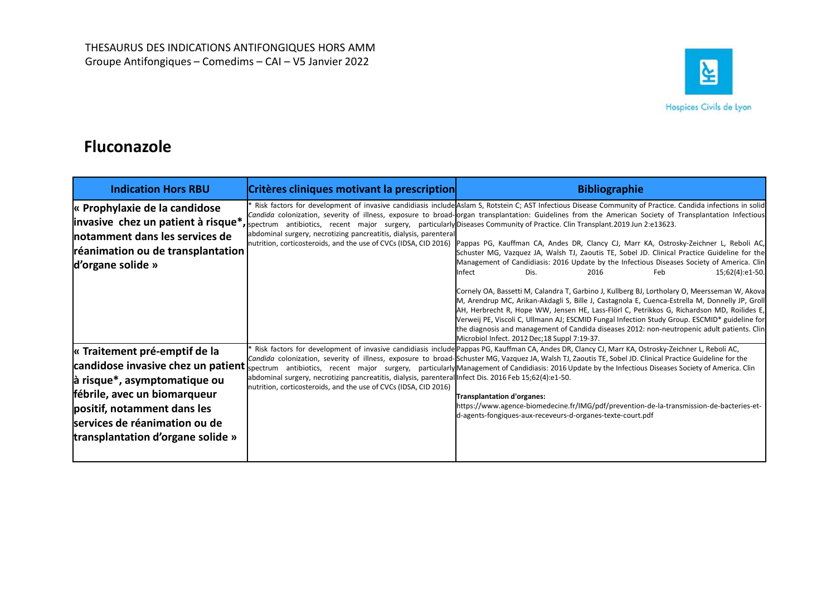

# Fluconazole

| THESAURUS DES INDICATIONS ANTIFONGIQUES HORS AMM<br>Groupe Antifongiques - Comedims - CAI - V5 Janvier 2022                                                                                               |                                                                                                                                                                            | 싴<br>Hospices Civils de Lyon                                                                                                                                                                                                                                                                                                                                                                                                                                                                                                                                                                                                                                                                                                                                                                                                                                                                                                                                                                                                                                                                                                                                                                                                                                                                                                                                                                                                                                  |
|-----------------------------------------------------------------------------------------------------------------------------------------------------------------------------------------------------------|----------------------------------------------------------------------------------------------------------------------------------------------------------------------------|---------------------------------------------------------------------------------------------------------------------------------------------------------------------------------------------------------------------------------------------------------------------------------------------------------------------------------------------------------------------------------------------------------------------------------------------------------------------------------------------------------------------------------------------------------------------------------------------------------------------------------------------------------------------------------------------------------------------------------------------------------------------------------------------------------------------------------------------------------------------------------------------------------------------------------------------------------------------------------------------------------------------------------------------------------------------------------------------------------------------------------------------------------------------------------------------------------------------------------------------------------------------------------------------------------------------------------------------------------------------------------------------------------------------------------------------------------------|
| <b>Fluconazole</b>                                                                                                                                                                                        |                                                                                                                                                                            |                                                                                                                                                                                                                                                                                                                                                                                                                                                                                                                                                                                                                                                                                                                                                                                                                                                                                                                                                                                                                                                                                                                                                                                                                                                                                                                                                                                                                                                               |
| <b>Indication Hors RBU</b>                                                                                                                                                                                | Critères cliniques motivant la prescription                                                                                                                                | <b>Bibliographie</b>                                                                                                                                                                                                                                                                                                                                                                                                                                                                                                                                                                                                                                                                                                                                                                                                                                                                                                                                                                                                                                                                                                                                                                                                                                                                                                                                                                                                                                          |
| « Prophylaxie de la candidose<br>notamment dans les services de<br>réanimation ou de transplantation<br>d'organe solide »                                                                                 | abdominal surgery, necrotizing pancreatitis, dialysis, parenteral                                                                                                          | Risk factors for development of invasive candidiasis include Aslam S, Rotstein C; AST Infectious Disease Community of Practice. Candida infections in solid<br>Candida colonization, severity of illness, exposure to broad-organ transplantation: Guidelines from the American Society of Transplantation Infectious<br><b>invasive chez un patient à risque*</b> , spectrum antibiotics, recent major surgery, particularly Diseases Community of Practice. Clin Transplant.2019 Jun 2:e13623.<br>nutrition, corticosteroids, and the use of CVCs (IDSA, CID 2016) Pappas PG, Kauffman CA, Andes DR, Clancy CJ, Marr KA, Ostrosky-Zeichner L, Reboli AC,<br>Schuster MG, Vazquez JA, Walsh TJ, Zaoutis TE, Sobel JD. Clinical Practice Guideline for the<br>Management of Candidiasis: 2016 Update by the Infectious Diseases Society of America. Clin<br>Infect<br>Dis.<br>2016<br>Feb<br>15;62(4):e1-50.<br>Cornely OA, Bassetti M, Calandra T, Garbino J, Kullberg BJ, Lortholary O, Meersseman W, Akova<br>M, Arendrup MC, Arikan-Akdagli S, Bille J, Castagnola E, Cuenca-Estrella M, Donnelly JP, Groll<br>AH, Herbrecht R, Hope WW, Jensen HE, Lass-Flörl C, Petrikkos G, Richardson MD, Roilides E<br>Verweij PE, Viscoli C, Ullmann AJ; ESCMID Fungal Infection Study Group. ESCMID* guideline for<br>the diagnosis and management of Candida diseases 2012: non-neutropenic adult patients. Clin<br>Microbiol Infect. 2012 Dec; 18 Suppl 7:19-37. |
| « Traitement pré-emptif de la<br>$\alpha$ risque*, asymptomatique ou<br>fébrile, avec un biomarqueur<br>positif, notamment dans les<br>services de réanimation ou de<br>transplantation d'organe solide » | abdominal surgery, necrotizing pancreatitis, dialysis, parenteral Infect Dis. 2016 Feb 15;62(4):e1-50.<br>nutrition, corticosteroids, and the use of CVCs (IDSA, CID 2016) | Risk factors for development of invasive candidiasis include Pappas PG, Kauffman CA, Andes DR, Clancy CJ, Marr KA, Ostrosky-Zeichner L, Reboli AC,<br>Candida colonization, severity of illness, exposure to broad-Schuster MG, Vazquez JA, Walsh TJ, Zaoutis TE, Sobel JD. Clinical Practice Guideline for the<br>candidose invasive chez un patient spectrum antibiotics, recent major surgery, particularly Management of Candidiasis: 2016 Update by the Infectious Diseases Society of America. Clin<br>Transplantation d'organes:<br>https://www.agence-biomedecine.fr/IMG/pdf/prevention-de-la-transmission-de-bacteries-et-<br>d-agents-fongiques-aux-receveurs-d-organes-texte-court.pdf                                                                                                                                                                                                                                                                                                                                                                                                                                                                                                                                                                                                                                                                                                                                                             |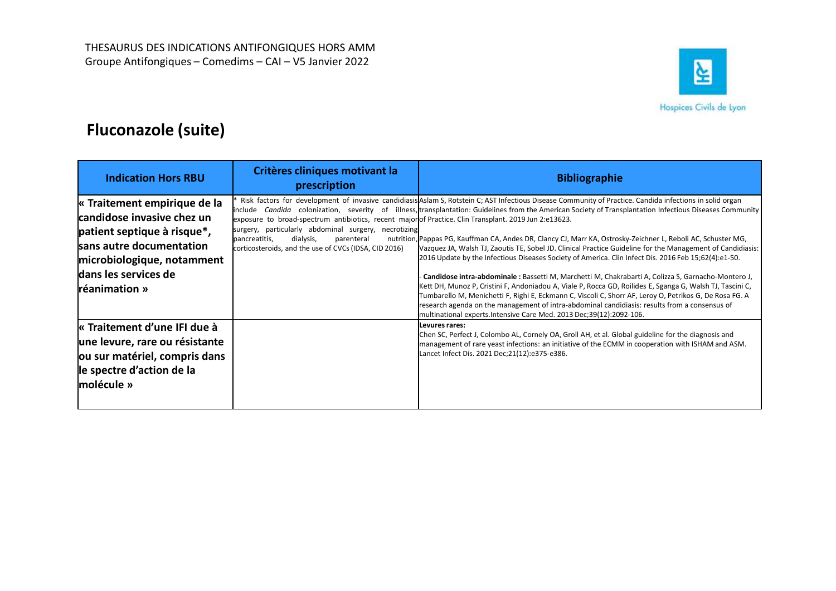

| THESAURUS DES INDICATIONS ANTIFONGIQUES HORS AMM<br>Groupe Antifongiques - Comedims - CAI - V5 Janvier 2022<br><b>Fluconazole (suite)</b>                                                    |                                                                                                                                                                                                                                                                   | 실<br>Hospices Civils de Lyon                                                                                                                                                                                                                                                                                                                                                                                                                                                                                                                                                                                                                                                                                                                                                                                                                                                                                                                                                                                                                                                                                                                                           |
|----------------------------------------------------------------------------------------------------------------------------------------------------------------------------------------------|-------------------------------------------------------------------------------------------------------------------------------------------------------------------------------------------------------------------------------------------------------------------|------------------------------------------------------------------------------------------------------------------------------------------------------------------------------------------------------------------------------------------------------------------------------------------------------------------------------------------------------------------------------------------------------------------------------------------------------------------------------------------------------------------------------------------------------------------------------------------------------------------------------------------------------------------------------------------------------------------------------------------------------------------------------------------------------------------------------------------------------------------------------------------------------------------------------------------------------------------------------------------------------------------------------------------------------------------------------------------------------------------------------------------------------------------------|
| <b>Indication Hors RBU</b>                                                                                                                                                                   | Critères cliniques motivant la<br>prescription                                                                                                                                                                                                                    | <b>Bibliographie</b>                                                                                                                                                                                                                                                                                                                                                                                                                                                                                                                                                                                                                                                                                                                                                                                                                                                                                                                                                                                                                                                                                                                                                   |
| « Traitement empirique de la<br>candidose invasive chez un<br>patient septique à risque*,<br>sans autre documentation<br>microbiologique, notamment<br>dans les services de<br>réanimation » | exposure to broad-spectrum antibiotics, recent majorof Practice. Clin Transplant. 2019 Jun 2:e13623.<br>surgery, particularly abdominal surgery, necrotizing<br>dialysis,<br>parenteral<br>pancreatitis,<br>corticosteroids, and the use of CVCs (IDSA, CID 2016) | Risk factors for development of invasive candidiasis Aslam S, Rotstein C; AST Infectious Disease Community of Practice. Candida infections in solid organ<br>include Candida colonization, severity of illness, transplantation: Guidelines from the American Society of Transplantation Infectious Diseases Community<br>nutrition, Pappas PG, Kauffman CA, Andes DR, Clancy CJ, Marr KA, Ostrosky-Zeichner L, Reboli AC, Schuster MG,<br>Vazquez JA, Walsh TJ, Zaoutis TE, Sobel JD. Clinical Practice Guideline for the Management of Candidiasis:<br>2016 Update by the Infectious Diseases Society of America. Clin Infect Dis. 2016 Feb 15;62(4):e1-50.<br>- Candidose intra-abdominale : Bassetti M, Marchetti M, Chakrabarti A, Colizza S, Garnacho-Montero J,<br>Kett DH, Munoz P, Cristini F, Andoniadou A, Viale P, Rocca GD, Roilides E, Sganga G, Walsh TJ, Tascini C,<br>Tumbarello M, Menichetti F, Righi E, Eckmann C, Viscoli C, Shorr AF, Leroy O, Petrikos G, De Rosa FG. A<br>research agenda on the management of intra-abdominal candidiasis: results from a consensus of<br>multinational experts.Intensive Care Med. 2013 Dec;39(12):2092-106. |
| « Traitement d'une IFI due à<br>une levure, rare ou résistante<br>ou sur matériel, compris dans<br>le spectre d'action de la                                                                 |                                                                                                                                                                                                                                                                   | Levures rares:<br>Chen SC, Perfect J, Colombo AL, Cornely OA, Groll AH, et al. Global guideline for the diagnosis and<br>management of rare yeast infections: an initiative of the ECMM in cooperation with ISHAM and ASM.<br>Lancet Infect Dis. 2021 Dec;21(12):e375-e386.                                                                                                                                                                                                                                                                                                                                                                                                                                                                                                                                                                                                                                                                                                                                                                                                                                                                                            |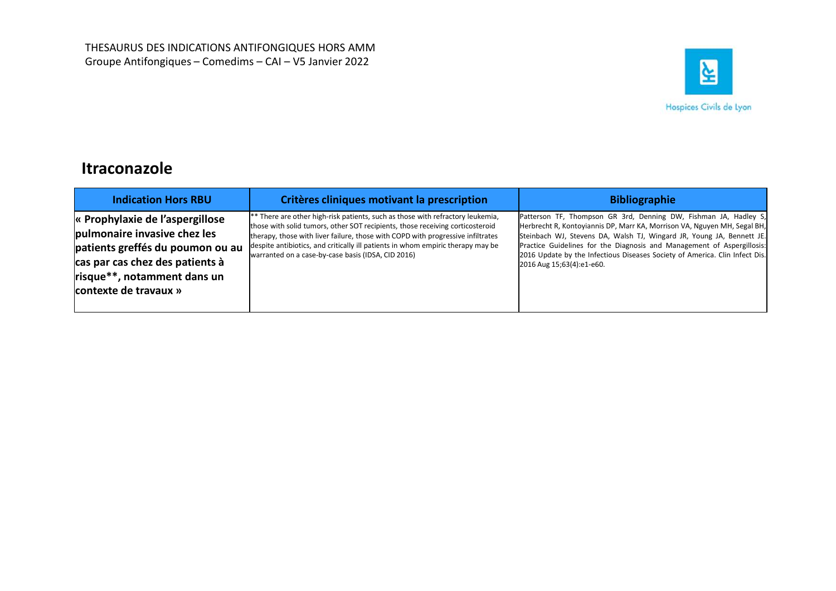

# Itraconazole

| THESAURUS DES INDICATIONS ANTIFONGIQUES HORS AMM<br>Groupe Antifongiques - Comedims - CAI - V5 Janvier 2022                                                                                    |                                                                                                                                                                                                                                                                                                                                                                                             | $ \vec{\sigma} $<br>Hospices Civils de Lyon                                                                                                                                                                                                                                                                                                                                                                 |
|------------------------------------------------------------------------------------------------------------------------------------------------------------------------------------------------|---------------------------------------------------------------------------------------------------------------------------------------------------------------------------------------------------------------------------------------------------------------------------------------------------------------------------------------------------------------------------------------------|-------------------------------------------------------------------------------------------------------------------------------------------------------------------------------------------------------------------------------------------------------------------------------------------------------------------------------------------------------------------------------------------------------------|
| <b>Itraconazole</b><br><b>Indication Hors RBU</b>                                                                                                                                              | Critères cliniques motivant la prescription                                                                                                                                                                                                                                                                                                                                                 | <b>Bibliographie</b>                                                                                                                                                                                                                                                                                                                                                                                        |
| « Prophylaxie de l'aspergillose<br>pulmonaire invasive chez les<br>patients greffés du poumon ou au<br>cas par cas chez des patients à<br>risque**, notamment dans un<br>contexte de travaux » | ** There are other high-risk patients, such as those with refractory leukemia,<br>those with solid tumors, other SOT recipients, those receiving corticosteroid<br>therapy, those with liver failure, those with COPD with progressive infiltrates<br>despite antibiotics, and critically ill patients in whom empiric therapy may be<br>warranted on a case-by-case basis (IDSA, CID 2016) | Patterson TF, Thompson GR 3rd, Denning DW, Fishman JA, Hadley S,<br>Herbrecht R, Kontoyiannis DP, Marr KA, Morrison VA, Nguyen MH, Segal BH,<br>Steinbach WJ, Stevens DA, Walsh TJ, Wingard JR, Young JA, Bennett JE.<br>Practice Guidelines for the Diagnosis and Management of Aspergillosis:<br>2016 Update by the Infectious Diseases Society of America. Clin Infect Dis.<br>2016 Aug 15;63(4):e1-e60. |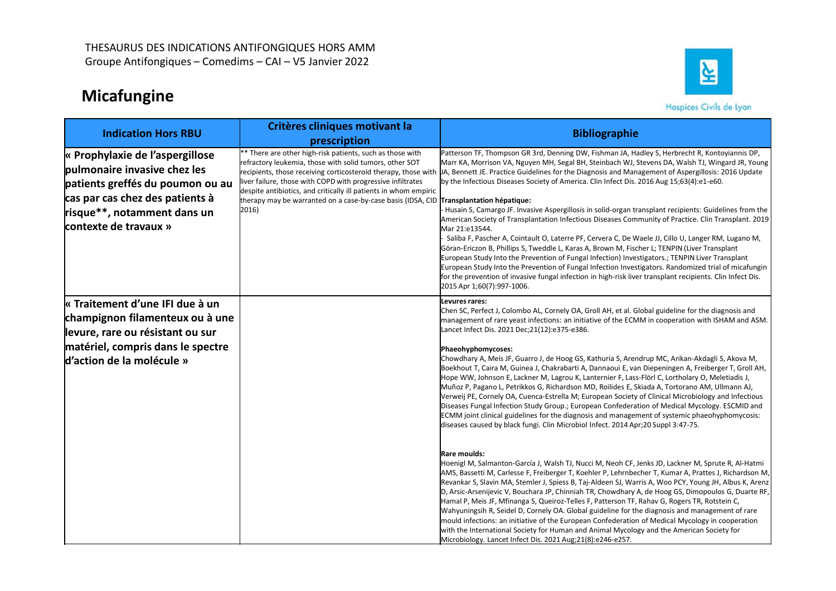# Micafungine



| <b>Micafungine</b>                                                                                                                                                                             | Groupe Antifongiques - Comedims - CAI - V5 Janvier 2022                                                                                                                                                                                                                                                                                                                   | ┙                                                                                                                                                                                                                                                                                                                                                                                                                                                                                                                                                                                                                                                                                                                                                                                                                                                                                                                                                                                                                                                                                                                                                                                                                                                                                                                                                                                                                                                                                                                                                                                                                                                                                                                                                                                                                                                                                                                                                                                                                                      |
|------------------------------------------------------------------------------------------------------------------------------------------------------------------------------------------------|---------------------------------------------------------------------------------------------------------------------------------------------------------------------------------------------------------------------------------------------------------------------------------------------------------------------------------------------------------------------------|----------------------------------------------------------------------------------------------------------------------------------------------------------------------------------------------------------------------------------------------------------------------------------------------------------------------------------------------------------------------------------------------------------------------------------------------------------------------------------------------------------------------------------------------------------------------------------------------------------------------------------------------------------------------------------------------------------------------------------------------------------------------------------------------------------------------------------------------------------------------------------------------------------------------------------------------------------------------------------------------------------------------------------------------------------------------------------------------------------------------------------------------------------------------------------------------------------------------------------------------------------------------------------------------------------------------------------------------------------------------------------------------------------------------------------------------------------------------------------------------------------------------------------------------------------------------------------------------------------------------------------------------------------------------------------------------------------------------------------------------------------------------------------------------------------------------------------------------------------------------------------------------------------------------------------------------------------------------------------------------------------------------------------------|
| <b>Indication Hors RBU</b>                                                                                                                                                                     | Critères cliniques motivant la                                                                                                                                                                                                                                                                                                                                            | Hospices Civils de Lyon<br><b>Bibliographie</b>                                                                                                                                                                                                                                                                                                                                                                                                                                                                                                                                                                                                                                                                                                                                                                                                                                                                                                                                                                                                                                                                                                                                                                                                                                                                                                                                                                                                                                                                                                                                                                                                                                                                                                                                                                                                                                                                                                                                                                                        |
| « Prophylaxie de l'aspergillose<br>pulmonaire invasive chez les<br>patients greffés du poumon ou au<br>cas par cas chez des patients à<br>risque**, notamment dans un<br>contexte de travaux » | prescription<br>** There are other high-risk patients, such as those with<br>refractory leukemia, those with solid tumors, other SOT<br>iver failure, those with COPD with progressive infiltrates<br>despite antibiotics, and critically ill patients in whom empiric<br>therapy may be warranted on a case-by-case basis (IDSA, CID Transplantation hépatique:<br>2016) | Patterson TF, Thompson GR 3rd, Denning DW, Fishman JA, Hadley S, Herbrecht R, Kontoyiannis DP,<br>Marr KA, Morrison VA, Nguyen MH, Segal BH, Steinbach WJ, Stevens DA, Walsh TJ, Wingard JR, Young<br>recipients, those receiving corticosteroid therapy, those with UA, Bennett JE. Practice Guidelines for the Diagnosis and Management of Aspergillosis: 2016 Update<br>by the Infectious Diseases Society of America. Clin Infect Dis. 2016 Aug 15;63(4):e1-e60.<br>Husain S, Camargo JF. Invasive Aspergillosis in solid-organ transplant recipients: Guidelines from the<br>American Society of Transplantation Infectious Diseases Community of Practice. Clin Transplant. 2019<br>Mar 21:e13544.<br>- Saliba F, Pascher A, Cointault O, Laterre PF, Cervera C, De Waele JJ, Cillo U, Langer RM, Lugano M,<br>Göran-Ericzon B, Phillips S, Tweddle L, Karas A, Brown M, Fischer L; TENPIN (Liver Transplant<br>European Study Into the Prevention of Fungal Infection) Investigators.; TENPIN Liver Transplant<br>European Study Into the Prevention of Fungal Infection Investigators. Randomized trial of micafungin<br>for the prevention of invasive fungal infection in high-risk liver transplant recipients. Clin Infect Dis.<br>2015 Apr 1;60(7):997-1006.                                                                                                                                                                                                                                                                                                                                                                                                                                                                                                                                                                                                                                                                                                                                                              |
| « Traitement d'une IFI due à un<br>champignon filamenteux ou à une<br>levure, rare ou résistant ou sur<br>matériel, compris dans le spectre<br>d'action de la molécule »                       |                                                                                                                                                                                                                                                                                                                                                                           | Levures rares:<br>Chen SC, Perfect J, Colombo AL, Cornely OA, Groll AH, et al. Global guideline for the diagnosis and<br>management of rare yeast infections: an initiative of the ECMM in cooperation with ISHAM and ASM.<br>Lancet Infect Dis. 2021 Dec;21(12):e375-e386.<br>Phaeohyphomycoses:<br>Chowdhary A, Meis JF, Guarro J, de Hoog GS, Kathuria S, Arendrup MC, Arikan-Akdagli S, Akova M,<br>Boekhout T, Caira M, Guinea J, Chakrabarti A, Dannaoui E, van Diepeningen A, Freiberger T, Groll AH,<br>Hope WW, Johnson E, Lackner M, Lagrou K, Lanternier F, Lass-Flörl C, Lortholary O, Meletiadis J,<br>Muñoz P, Pagano L, Petrikkos G, Richardson MD, Roilides E, Skiada A, Tortorano AM, Ullmann AJ,<br>Verweij PE, Cornely OA, Cuenca-Estrella M; European Society of Clinical Microbiology and Infectious<br>Diseases Fungal Infection Study Group.; European Confederation of Medical Mycology. ESCMID and<br>ECMM joint clinical guidelines for the diagnosis and management of systemic phaeohyphomycosis:<br>diseases caused by black fungi. Clin Microbiol Infect. 2014 Apr;20 Suppl 3:47-75.<br>Rare moulds:<br>Hoenigl M, Salmanton-García J, Walsh TJ, Nucci M, Neoh CF, Jenks JD, Lackner M, Sprute R, Al-Hatmi<br>AMS, Bassetti M, Carlesse F, Freiberger T, Koehler P, Lehrnbecher T, Kumar A, Prattes J, Richardson M,<br>Revankar S, Slavin MA, Stemler J, Spiess B, Taj-Aldeen SJ, Warris A, Woo PCY, Young JH, Albus K, Arenz<br>D, Arsic-Arsenijevic V, Bouchara JP, Chinniah TR, Chowdhary A, de Hoog GS, Dimopoulos G, Duarte RF,<br>Hamal P, Meis JF, Mfinanga S, Queiroz-Telles F, Patterson TF, Rahav G, Rogers TR, Rotstein C,<br>Wahyuningsih R, Seidel D, Cornely OA. Global guideline for the diagnosis and management of rare<br>mould infections: an initiative of the European Confederation of Medical Mycology in cooperation<br>with the International Society for Human and Animal Mycology and the American Society for<br>Microbiology. Lancet Infect Dis. 2021 Aug;21(8):e246-e257. |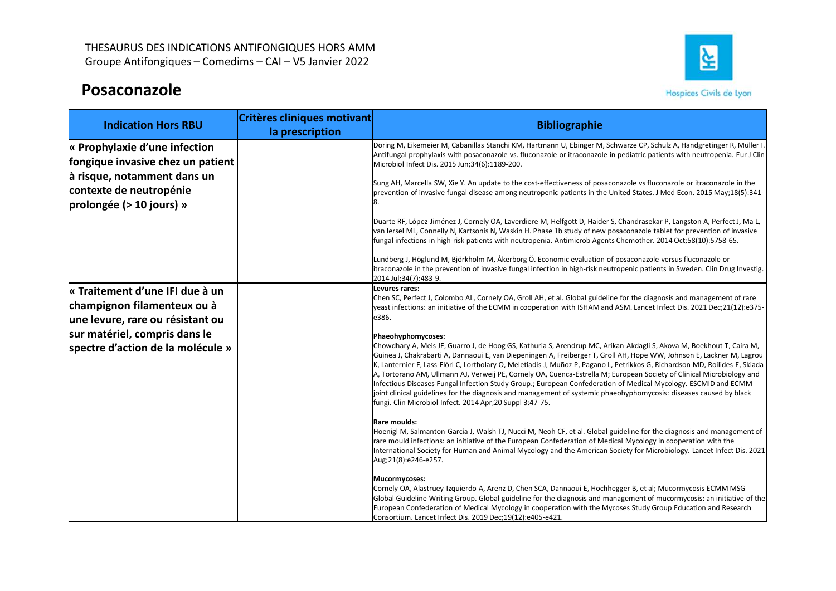# Posaconazole



| Groupe Antifongiques - Comedims - CAI - V5 Janvier 2022                                            | THESAURUS DES INDICATIONS ANTIFONGIQUES HORS AMM | 싴                                                                                                                                                                                                                                                                                                                                                                                                                                                                                                                                                                                                                                                                                                                                                                                                                                |
|----------------------------------------------------------------------------------------------------|--------------------------------------------------|----------------------------------------------------------------------------------------------------------------------------------------------------------------------------------------------------------------------------------------------------------------------------------------------------------------------------------------------------------------------------------------------------------------------------------------------------------------------------------------------------------------------------------------------------------------------------------------------------------------------------------------------------------------------------------------------------------------------------------------------------------------------------------------------------------------------------------|
| Posaconazole                                                                                       |                                                  | Hospices Civils de Lyon                                                                                                                                                                                                                                                                                                                                                                                                                                                                                                                                                                                                                                                                                                                                                                                                          |
| <b>Indication Hors RBU</b>                                                                         | Critères cliniques motivant<br>la prescription   | <b>Bibliographie</b>                                                                                                                                                                                                                                                                                                                                                                                                                                                                                                                                                                                                                                                                                                                                                                                                             |
| $\kappa$ Prophylaxie d'une infection<br>fongique invasive chez un patient                          |                                                  | Döring M, Eikemeier M, Cabanillas Stanchi KM, Hartmann U, Ebinger M, Schwarze CP, Schulz A, Handgretinger R, Müller I.<br>Antifungal prophylaxis with posaconazole vs. fluconazole or itraconazole in pediatric patients with neutropenia. Eur J Clin<br>Microbiol Infect Dis. 2015 Jun;34(6):1189-200.                                                                                                                                                                                                                                                                                                                                                                                                                                                                                                                          |
| à risque, notamment dans un<br>contexte de neutropénie<br>prolongée ( $> 10$ jours) »              |                                                  | Sung AH, Marcella SW, Xie Y. An update to the cost-effectiveness of posaconazole vs fluconazole or itraconazole in the<br>prevention of invasive fungal disease among neutropenic patients in the United States. J Med Econ. 2015 May;18(5):341-                                                                                                                                                                                                                                                                                                                                                                                                                                                                                                                                                                                 |
|                                                                                                    |                                                  | Duarte RF, López-Jiménez J, Cornely OA, Laverdiere M, Helfgott D, Haider S, Chandrasekar P, Langston A, Perfect J, Ma L,<br>van Iersel ML, Connelly N, Kartsonis N, Waskin H. Phase 1b study of new posaconazole tablet for prevention of invasive<br>fungal infections in high-risk patients with neutropenia. Antimicrob Agents Chemother. 2014 Oct;58(10):5758-65.                                                                                                                                                                                                                                                                                                                                                                                                                                                            |
|                                                                                                    |                                                  | Lundberg J, Höglund M, Björkholm M, Åkerborg Ö. Economic evaluation of posaconazole versus fluconazole or<br>itraconazole in the prevention of invasive fungal infection in high-risk neutropenic patients in Sweden. Clin Drug Investig.<br>2014 Jul;34(7):483-9.                                                                                                                                                                                                                                                                                                                                                                                                                                                                                                                                                               |
| « Traitement d'une IFI due à un<br>champignon filamenteux ou à<br>une levure, rare ou résistant ou |                                                  | Levures rares:<br>Chen SC, Perfect J, Colombo AL, Cornely OA, Groll AH, et al. Global guideline for the diagnosis and management of rare<br>yeast infections: an initiative of the ECMM in cooperation with ISHAM and ASM. Lancet Infect Dis. 2021 Dec;21(12):e375-<br>e386.                                                                                                                                                                                                                                                                                                                                                                                                                                                                                                                                                     |
| sur matériel, compris dans le<br>spectre d'action de la molécule »                                 |                                                  | Phaeohyphomycoses:<br>Chowdhary A, Meis JF, Guarro J, de Hoog GS, Kathuria S, Arendrup MC, Arikan-Akdagli S, Akova M, Boekhout T, Caira M,<br>Guinea J, Chakrabarti A, Dannaoui E, van Diepeningen A, Freiberger T, Groll AH, Hope WW, Johnson E, Lackner M, Lagrou<br>K, Lanternier F, Lass-Flörl C, Lortholary O, Meletiadis J, Muñoz P, Pagano L, Petrikkos G, Richardson MD, Roilides E, Skiada<br>A, Tortorano AM, Ullmann AJ, Verweij PE, Cornely OA, Cuenca-Estrella M; European Society of Clinical Microbiology and<br>Infectious Diseases Fungal Infection Study Group.; European Confederation of Medical Mycology. ESCMID and ECMM<br>joint clinical guidelines for the diagnosis and management of systemic phaeohyphomycosis: diseases caused by black<br>fungi. Clin Microbiol Infect. 2014 Apr;20 Suppl 3:47-75. |
|                                                                                                    |                                                  | Rare moulds:<br>Hoenigl M, Salmanton-García J, Walsh TJ, Nucci M, Neoh CF, et al. Global guideline for the diagnosis and management of<br>rare mould infections: an initiative of the European Confederation of Medical Mycology in cooperation with the<br>International Society for Human and Animal Mycology and the American Society for Microbiology. Lancet Infect Dis. 2021<br>Aug;21(8):e246-e257.                                                                                                                                                                                                                                                                                                                                                                                                                       |
|                                                                                                    |                                                  | Mucormycoses:<br>Cornely OA, Alastruey-Izquierdo A, Arenz D, Chen SCA, Dannaoui E, Hochhegger B, et al; Mucormycosis ECMM MSG<br>Global Guideline Writing Group. Global guideline for the diagnosis and management of mucormycosis: an initiative of the<br>European Confederation of Medical Mycology in cooperation with the Mycoses Study Group Education and Research<br>Consortium. Lancet Infect Dis. 2019 Dec;19(12):e405-e421.                                                                                                                                                                                                                                                                                                                                                                                           |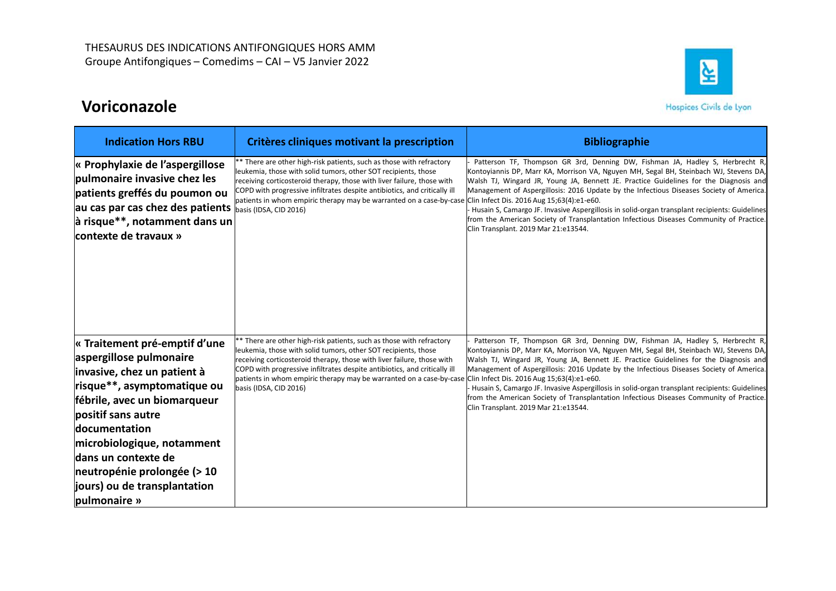# Voriconazole



| THESAURUS DES INDICATIONS ANTIFONGIQUES HORS AMM                                                                                                                                                                                                                                                                                  |                                                                                                                                                                                                                                                                                                                                                                                                                                          |                                                                                                                                                                                                                                                                                                                                                                                                                                                                                                                                                                                                |
|-----------------------------------------------------------------------------------------------------------------------------------------------------------------------------------------------------------------------------------------------------------------------------------------------------------------------------------|------------------------------------------------------------------------------------------------------------------------------------------------------------------------------------------------------------------------------------------------------------------------------------------------------------------------------------------------------------------------------------------------------------------------------------------|------------------------------------------------------------------------------------------------------------------------------------------------------------------------------------------------------------------------------------------------------------------------------------------------------------------------------------------------------------------------------------------------------------------------------------------------------------------------------------------------------------------------------------------------------------------------------------------------|
| Groupe Antifongiques - Comedims - CAI - V5 Janvier 2022                                                                                                                                                                                                                                                                           |                                                                                                                                                                                                                                                                                                                                                                                                                                          | 실                                                                                                                                                                                                                                                                                                                                                                                                                                                                                                                                                                                              |
| Voriconazole                                                                                                                                                                                                                                                                                                                      |                                                                                                                                                                                                                                                                                                                                                                                                                                          | Hospices Civils de Lyon                                                                                                                                                                                                                                                                                                                                                                                                                                                                                                                                                                        |
| <b>Indication Hors RBU</b>                                                                                                                                                                                                                                                                                                        | Critères cliniques motivant la prescription                                                                                                                                                                                                                                                                                                                                                                                              | <b>Bibliographie</b>                                                                                                                                                                                                                                                                                                                                                                                                                                                                                                                                                                           |
| « Prophylaxie de l'aspergillose<br>pulmonaire invasive chez les<br>patients greffés du poumon ou<br>au cas par cas chez des patients $\int_{\text{basis (IDSA, CID 2016)}}$<br>$ \hat{a} $ risque**, notamment dans un<br>contexte de travaux »                                                                                   | * There are other high-risk patients, such as those with refractory<br>leukemia, those with solid tumors, other SOT recipients, those<br>receiving corticosteroid therapy, those with liver failure, those with<br>COPD with progressive infiltrates despite antibiotics, and critically ill<br>patients in whom empiric therapy may be warranted on a case-by-case Clin Infect Dis. 2016 Aug 15;63(4):e1-e60.                           | Patterson TF, Thompson GR 3rd, Denning DW, Fishman JA, Hadley S, Herbrecht R<br>Kontoyiannis DP, Marr KA, Morrison VA, Nguyen MH, Segal BH, Steinbach WJ, Stevens DA,<br>Walsh TJ, Wingard JR, Young JA, Bennett JE. Practice Guidelines for the Diagnosis and<br>Management of Aspergillosis: 2016 Update by the Infectious Diseases Society of America<br>Husain S, Camargo JF. Invasive Aspergillosis in solid-organ transplant recipients: Guidelines<br>from the American Society of Transplantation Infectious Diseases Community of Practice.<br>Clin Transplant. 2019 Mar 21:e13544.   |
| « Traitement pré-emptif d'une<br>aspergillose pulmonaire<br>invasive, chez un patient à<br>risque**, asymptomatique ou<br>fébrile, avec un biomarqueur<br>positif sans autre<br>documentation<br>microbiologique, notamment<br>dans un contexte de<br>neutropénie prolongée (> 10<br>jours) ou de transplantation<br>pulmonaire » | * There are other high-risk patients, such as those with refractory<br>leukemia, those with solid tumors, other SOT recipients, those<br>receiving corticosteroid therapy, those with liver failure, those with<br>COPD with progressive infiltrates despite antibiotics, and critically ill<br>patients in whom empiric therapy may be warranted on a case-by-case Clin Infect Dis. 2016 Aug 15;63(4):e1-e60.<br>basis (IDSA, CID 2016) | Patterson TF, Thompson GR 3rd, Denning DW, Fishman JA, Hadley S, Herbrecht R,<br>Kontoyiannis DP, Marr KA, Morrison VA, Nguyen MH, Segal BH, Steinbach WJ, Stevens DA,<br>Walsh TJ, Wingard JR, Young JA, Bennett JE. Practice Guidelines for the Diagnosis and<br>Management of Aspergillosis: 2016 Update by the Infectious Diseases Society of America.<br>Husain S, Camargo JF. Invasive Aspergillosis in solid-organ transplant recipients: Guidelines<br>from the American Society of Transplantation Infectious Diseases Community of Practice.<br>Clin Transplant. 2019 Mar 21:e13544. |